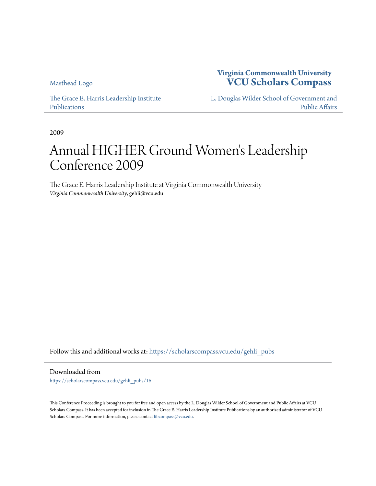[Masthead Logo](http://www.vcu.edu/?utm_source=scholarscompass.vcu.edu%2Fgehli_pubs%2F16&utm_medium=PDF&utm_campaign=PDFCoverPages)

**Virginia Commonwealth University [VCU Scholars Compass](https://scholarscompass.vcu.edu?utm_source=scholarscompass.vcu.edu%2Fgehli_pubs%2F16&utm_medium=PDF&utm_campaign=PDFCoverPages)**

[The Grace E. Harris Leadership Institute](https://scholarscompass.vcu.edu/gehli_pubs?utm_source=scholarscompass.vcu.edu%2Fgehli_pubs%2F16&utm_medium=PDF&utm_campaign=PDFCoverPages) [Publications](https://scholarscompass.vcu.edu/gehli_pubs?utm_source=scholarscompass.vcu.edu%2Fgehli_pubs%2F16&utm_medium=PDF&utm_campaign=PDFCoverPages)

[L. Douglas Wilder School of Government and](https://scholarscompass.vcu.edu/wilder?utm_source=scholarscompass.vcu.edu%2Fgehli_pubs%2F16&utm_medium=PDF&utm_campaign=PDFCoverPages) [Public Affairs](https://scholarscompass.vcu.edu/wilder?utm_source=scholarscompass.vcu.edu%2Fgehli_pubs%2F16&utm_medium=PDF&utm_campaign=PDFCoverPages)

2009

# Annual HIGHER Ground Women 's Leadership Conference 2009

The Grace E. Harris Leadership Institute at Virginia Commonwealth University *Virginia Commonwealth University*, gehli@vcu.edu

Follow this and additional works at: [https://scholarscompass.vcu.edu/gehli\\_pubs](https://scholarscompass.vcu.edu/gehli_pubs?utm_source=scholarscompass.vcu.edu%2Fgehli_pubs%2F16&utm_medium=PDF&utm_campaign=PDFCoverPages)

Downloaded from

[https://scholarscompass.vcu.edu/gehli\\_pubs/16](https://scholarscompass.vcu.edu/gehli_pubs/16?utm_source=scholarscompass.vcu.edu%2Fgehli_pubs%2F16&utm_medium=PDF&utm_campaign=PDFCoverPages)

This Conference Proceeding is brought to you for free and open access by the L. Douglas Wilder School of Government and Public Affairs at VCU Scholars Compass. It has been accepted for inclusion in The Grace E. Harris Leadership Institute Publications by an authorized administrator of VCU Scholars Compass. For more information, please contact [libcompass@vcu.edu](mailto:libcompass@vcu.edu).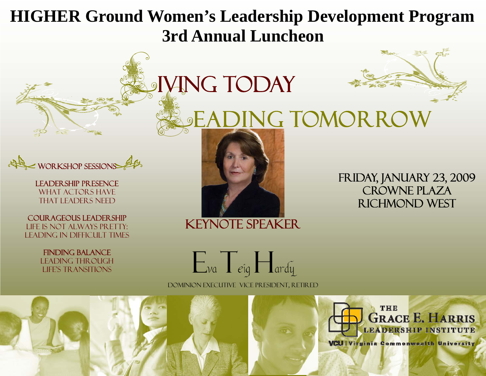# **HIGHER Ground Women's Leadership Development Program 3rd Annual Luncheon**

LAGING TODAY<br>Leading Tomorrow



Leadership Presence WHAT ACTORS HAVE that leaders need

Courageous leadership Life is not always pretty: Leading in difficult times

> Finding balance Leading through life's transitions



## Keynote Speaker

Friday, January 23, 2009 Crowne Plaza Richmond West

 $E_{\nu a}$   $T_{e i q}$   $H_{\text{ardy}}$ Dominion Executive Vice President, Retired

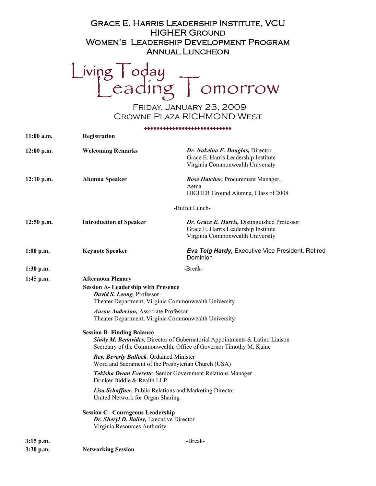### Grace E. Harris Leadership Institute, VCU HIGHER Ground Women's Leadership Development Program Annual Luncheon

Living Today<br>Leading Tomorrow

Friday, January 23, 2009 Crowne Plaza RICHMOND West

#### ♦♦♦♦♦♦♦♦♦♦♦♦♦♦♦♦♦♦♦♦♦♦♦♦♦♦♦♦

| $11:00$ a.m. | Registration                                                                                                                                                                                                                                                                                                                                                                                                                    |                                                                                                                          |
|--------------|---------------------------------------------------------------------------------------------------------------------------------------------------------------------------------------------------------------------------------------------------------------------------------------------------------------------------------------------------------------------------------------------------------------------------------|--------------------------------------------------------------------------------------------------------------------------|
| $12:00$ p.m. | <b>Welcoming Remarks</b>                                                                                                                                                                                                                                                                                                                                                                                                        | Dr. Nakeina E. Douglas, Director<br>Grace E. Harris Leadership Institute<br>Virginia Commonwealth University             |
| $12:10$ p.m. | Alumna Speaker                                                                                                                                                                                                                                                                                                                                                                                                                  | Rose Hatcher, Procurement Manager,<br>Aetna<br>HIGHER Ground Alumna, Class of 2008                                       |
|              |                                                                                                                                                                                                                                                                                                                                                                                                                                 | -Buffet Lunch-                                                                                                           |
| $12:50$ p.m. | <b>Introduction of Speaker</b>                                                                                                                                                                                                                                                                                                                                                                                                  | Dr. Grace E. Harris, Distinguished Professor<br>Grace E. Harris Leadership Institute<br>Virginia Commonwealth University |
| $1:00$ p.m.  | <b>Keynote Speaker</b>                                                                                                                                                                                                                                                                                                                                                                                                          | <b>Eva Teig Hardy, Executive Vice President, Retired</b><br>Dominion                                                     |
| 1:30 p.m.    | -Break-                                                                                                                                                                                                                                                                                                                                                                                                                         |                                                                                                                          |
|              | <b>Session A- Leadership with Presence</b><br>David S. Leong, Professor<br>Theater Department, Virginia Commonwealth University<br><b>Aaron Anderson, Associate Professor</b><br>Theater Department, Virginia Commonwealth University<br><b>Session B- Finding Balance</b><br>Sindy M. Benavides, Director of Gubernatorial Appointments & Latino Liaison<br>Secretary of the Commonwealth, Office of Governor Timothy M. Kaine |                                                                                                                          |
|              |                                                                                                                                                                                                                                                                                                                                                                                                                                 |                                                                                                                          |
|              | Tekisha Dwan Everette, Senior Government Relations Manager<br>Drinker Biddle & Realth LLP                                                                                                                                                                                                                                                                                                                                       |                                                                                                                          |
|              | Lisa Schaffner, Public Relations and Marketing Director<br>United Network for Organ Sharing                                                                                                                                                                                                                                                                                                                                     |                                                                                                                          |
|              | <b>Session C- Courageous Leadership</b><br>Dr. Sheryl D. Bailey, Executive Director<br>Virginia Resources Authority                                                                                                                                                                                                                                                                                                             |                                                                                                                          |
|              | $3:15$ p.m.                                                                                                                                                                                                                                                                                                                                                                                                                     | -Break-                                                                                                                  |
| $3:30$ p.m.  | <b>Networking Session</b>                                                                                                                                                                                                                                                                                                                                                                                                       |                                                                                                                          |